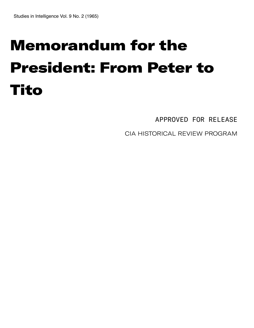# Memorandum for the President: From Peter to Tito

APPROVED FOR RELEASE

CIA HISTORICAL REVIEW PROGRAM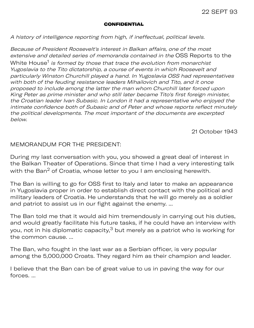#### **CONFIDENTIAL**

A history of intelligence reporting from high, if ineffectual, political levels.

Because of President Roosevelt's interest in Balkan affairs, one of the most extensive and detailed series of memoranda contained in the OSS Reports to the White House $^1$  is formed by those that trace the evolution from monarchist Yugoslavia to the Tito dictatorship, a course of events in which Roosevelt and particularly Winston Churchill played a hand. In Yugoslavia OSS had representatives with both of the feuding resistance leaders Mihailovich and Tito, and it once proposed to include among the latter the man whom Churchill later forced upon King Peter as prime minister and who still later became Tito's first foreign minister, the Croatian leader Ivan Subasic. In London it had a representative who enjoyed the intimate confidence both of Subasic and of Peter and whose reports reflect minutely the political developments. The most important of the documents are excerpted below.

21 October 1943

#### MEMORANDUM FOR THE PRESIDENT:

During my last conversation with you, you showed a great deal of interest in the Balkan Theater of Operations. Since that time I had a very interesting talk with the Ban $^2$  of Croatia, whose letter to you I am enclosing herewith.

The Ban is willing to go for OSS first to Italy and later to make an appearance in Yugoslavia proper in order to establish direct contact with the political and military leaders of Croatia. He understands that he will go merely as a soldier and patriot to assist us in our fight against the enemy. ...

The Ban told me that it would aid him tremendously in carrying out his duties, and would greatly facilitate his future tasks, if he could have an interview with you, not in his diplomatic capacity, $^3$  but merely as a patriot who is working for the common cause. ...

The Ban, who fought in the last war as a Serbian officer, is very popular among the 5,000,000 Croats. They regard him as their champion and leader.

I believe that the Ban can be of great value to us in paving the way for our forces. ...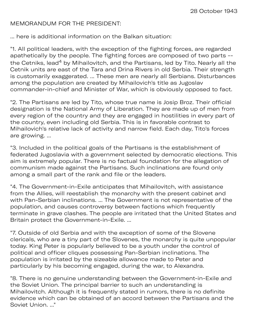... here is additional information on the Balkan situation:

"1. All political leaders, with the exception of the fighting forces, are regarded apathetically by the people. The fighting forces are composed of two parts - the Cetniks, lead $^4$  by Mihailovitch, and the Partisans, led by Tito. Nearly all the Cetnik units are east of the Tara and Drina Rivers in old Serbia. Their strength is customarily exaggerated. ... These men are nearly all Serbians. Disturbances among the population are created by Mihailovich's title as Jugoslav commander-in-chief and Minister of War, which is obviously opposed to fact.

"2. The Partisans are led by Tito, whose true name is Josip Broz. Their official designation is the National Army of Liberation. They are made up of men from every region of the country and they are engaged in hostilities in every part of the country, even including old Serbia. This is in favorable contrast to Mihailovich's relative lack of activity and narrow field. Each day, Tito's forces are growing. ...

"3. Included in the political goals of the Partisans is the establishment of federated Jugoslavia with a government selected by democratic elections. This aim is extremely popular. There is no factual foundation for the allegation of communism made against the Partisans. Such inclinations are found only among a small part of the rank and file or the leaders.

"4. The Government-in-Exile anticipates that Mihailovitch, with assistance from the Allies, will reestablish the monarchy with the present cabinet and with Pan-Serbian inclinations. ... The Government is not representative of the population, and causes controversy between factions which frequently terminate in grave clashes. The people are irritated that the United States and Britain protect the Government-in-Exile. ...

"7. Outside of old Serbia and with the exception of some of the Slovene clericals, who are a tiny part of the Slovenes, the monarchy is quite unpopular today. King Peter is popularly believed to be a youth under the control of political and officer cliques possessing Pan-Serbian inclinations. The population is irritated by the sizeable allowance made to Peter and particularly by his becoming engaged, during the war, to Alexandra.

"8. There is no genuine understanding between the Government-in-Exile and the Soviet Union. The principal barrier to such an understanding is Mihailovitch. Although it is frequently stated in rumors, there is no definite evidence which can be obtained of an accord between the Partisans and the Soviet Union. ..."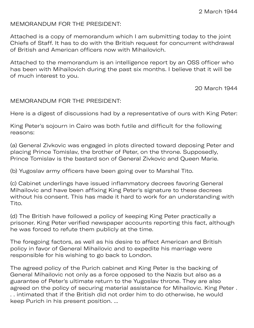Attached is a copy of memorandum which I am submitting today to the joint Chiefs of Staff. It has to do with the British request for concurrent withdrawal of British and American officers now with Mihailovich.

Attached to the memorandum is an intelligence report by an OSS officer who has been with Mihailovich during the past six months. I believe that it will be of much interest to you.

20 March 1944

MEMORANDUM FOR THE PRESIDENT:

Here is a digest of discussions had by a representative of ours with King Peter:

King Peter's sojourn in Cairo was both futile and difficult for the following reasons:

(a) General Zivkovic was engaged in plots directed toward deposing Peter and placing Prince Tomislav, the brother of Peter, on the throne. Supposedly, Prince Tomislav is the bastard son of General Zivkovic and Queen Marie.

(b) Yugoslav army officers have been going over to Marshal Tito.

(c) Cabinet underlings have issued inflammatory decrees favoring General Mihailovic and have been affixing King Peter's signature to these decrees without his consent. This has made it hard to work for an understanding with Tito.

(d) The British have followed a policy of keeping King Peter practically a prisoner. King Peter verified newspaper accounts reporting this fact, although he was forced to refute them publicly at the time.

The foregoing factors, as well as his desire to affect American and British policy in favor of General Mihailovic and to expedite his marriage were responsible for his wishing to go back to London.

The agreed policy of the Purich cabinet and King Peter is the backing of General Mihailovic not only as a force opposed to the Nazis but also as a guarantee of Peter's ultimate return to the Yugoslav throne. They are also agreed on the policy of securing material assistance for Mihailovic. King Peter . . . intimated that if the British did not order him to do otherwise, he would keep Purich in his present position. ...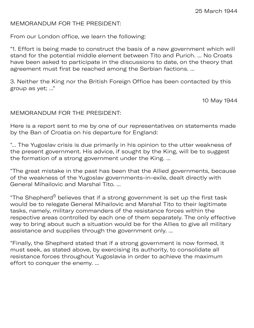From our London office, we learn the following:

"1. Effort is being made to construct the basis of a new government which will stand for the potential middle element between Tito and Purich. ... No Croats have been asked to participate in the discussions to date, on the theory that agreement must first be reached among the Serbian factions. ...

3. Neither the King nor the British Foreign Office has been contacted by this group as yet; ..."

10 May 1944

#### MEMORANDUM FOR THE PRESIDENT:

Here is a report sent to me by one of our representatives on statements made by the Ban of Croatia on his departure for England:

"... The Yugoslav crisis is due primarily in his opinion to the utter weakness of the present government. His advice, if sought by the King, will be to suggest the formation of a strong government under the King. ...

"The great mistake in the past has been that the Allied governments, because of the weakness of the Yugoslav governments-in-exile, dealt directly with General Mihailovic and Marshal Tito. ...

"The Shepherd<sup>5</sup> believes that if a strong government is set up the first task would be to relegate General Mihailovic and Marshal Tito to their legitimate tasks, namely, military commanders of the resistance forces within the respective areas controlled by each one of them separately. The only effective way to bring about such a situation would be for the Allies to give all military assistance and supplies through the government only. ...

"Finally, the Shepherd stated that if a strong government is now formed, it must seek, as stated above, by exercising its authority, to consolidate all resistance forces throughout Yugoslavia in order to achieve the maximum effort to conquer the enemy. ...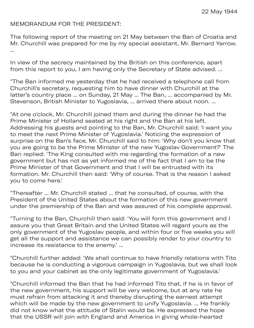The following report of the meeting on 21 May between the Ban of Croatia and Mr. Churchill was prepared for me by my special assistant, Mr. Bernard Yarrow. ...

In view of the secrecy maintained by the British on this conference, apart from this report to you, I am having only the Secretary of State advised. ...

"The Ban informed me yesterday that he had received a telephone call from Churchill's secretary, requesting him to have dinner with Churchill at the latter's country place ... on Sunday, 21 May ... The Ban, ... accompanied by Mr. Stevenson, British Minister to Yugoslavia, ... arrived there about noon. ...

"At one o'clock, Mr. Churchill joined them and during the dinner he had the Prime Minister of Holland seated at his right and the Ban at his left. Addressing his guests and pointing to the Ban, Mr. Churchill said: 'I want you to meet the next Prime Minister of Yugoslavia.' Noticing the expression of surprise on the Ban's face, Mr. Churchill said to him: 'Why don't you know that you are going to be the Prime Minister of the new Yugoslav Government?' The Ban replied: 'The King consulted with me regarding the formation of a new government but has not as yet informed me of the fact that I am to be the Prime Minister of that Government and that I will be entrusted with its formation. Mr. Churchill then said: 'Why of course. That is the reason I asked you to come here.'

"Thereafter ... Mr. Churchill stated ... that he consulted, of course, with the President of the United States about the formation of this new government under the premiership of the Ban and was assured of his complete approval.

"Turning to the Ban, Churchill then said: 'You will form this government and I assure you that Great Britain and the United States will regard yours as the only government of the Yugoslav people, and within four or five weeks you will get all the support and assistance we can possibly render to your country to increase its resistance to the enemy.' ...

"Churchill further added: 'We shall continue to have friendly relations with Tito because he is conducting a vigorous campaign in Yugoslavia, but we shall look to you and your cabinet as the only legitimate government of Yugoslavia.'

"Churchill informed the Ban that he had informed Tito that, if he is in favor of the new government, his support will be very welcome, but at any rate he must refrain from attacking it and thereby disrupting the earnest attempt which will be made by the new government to unify Yugoslavia. ... He frankly did not know what the attitude of Stalin would be. He expressed the hope that the USSR will join with England and America in giving whole-hearted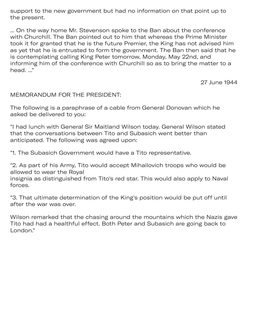support to the new government but had no information on that point up to the present.

... On the way home Mr. Stevenson spoke to the Ban about the conference with Churchill. The Ban pointed out to him that whereas the Prime Minister took it for granted that he is the future Premier, the King has not advised him as yet that he is entrusted to form the government. The Ban then said that he is contemplating calling King Peter tomorrow, Monday, May 22nd, and informing him of the conference with Churchill so as to bring the matter to a head. ..."

27 June 1944

#### MEMORANDUM FOR THE PRESIDENT:

The following is a paraphrase of a cable from General Donovan which he asked be delivered to you:

"I had lunch with General Sir Maitland Wilson today. General Wilson stated that the conversations between Tito and Subasich went better than anticipated. The following was agreed upon:

"1. The Subasich Government would have a Tito representative.

"2. As part of his Army, Tito would accept Mihailovich troops who would be allowed to wear the Royal

insignia as distinguished from Tito's red star. This would also apply to Naval forces.

"3. That ultimate determination of the King's position would be put off until after the war was over.

Wilson remarked that the chasing around the mountains which the Nazis gave Tito had had a healthful effect. Both Peter and Subasich are going back to London."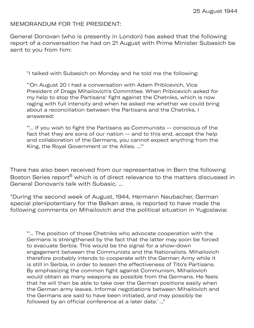General Donovan (who is presently in London) has asked that the following report of a conversation he had on 21 August with Prime Minister Subasich be sent to you from him:

"I talked with Subasich on Monday and he told me the following:

"'On August 20 I had a conversation with Adam Pribicevich, Vice President of Draga Mihailovich's Committee. When Pribicevich asked for my help to stop the Partisans' fight against the Chetniks, which is now raging with full intensity and when he asked me whether we could bring about a reconciliation between the Partisans and the Chetniks, I answered:

"'... If you wish to fight the Partisans as Communists -- conscious of the fact that they are sons of our nation -- and to this end, accept the help and collaboration of the Germans, you cannot expect anything from the King, the Royal Government or the Allies. ...'"

There has also been received from our representative in Bern the following Boston Series report<sup>6</sup> which is of direct relevance to the matters discussed in General Donovan's talk with Subasic. ...

"During the second week of August, 1944, Hermann Neubacher, German special plenipotentiary for the Balkan area, is reported to have made the following comments on Mihailovich and the political situation in Yugoslavia:

"'... The position of those Chetniks who advocate cooperation with the Germans is strengthened by the fact that the latter may soon be forced to evacuate Serbia. This would be the signal for a show-down engagement between the Communists and the Nationalists. Mihailovich therefore probably intends to cooperate with the German Army while it is still in Serbia, in order to lessen the effectiveness of Tito's Partisans. By emphasizing the common fight against Communism, Mihailovich would obtain as many weapons as possible from the Germans. He feels that he will then be able to take over the German positions easily when the German army leaves. Informal negotiations between Mihailovich and the Germans are said to have been initiated, and may possibly be followed by an official conference at a later date.' ..."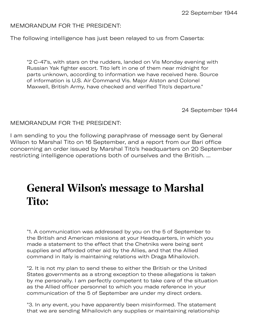The following intelligence has just been relayed to us from Caserta:

"2 C-47's, with stars on the rudders, landed on Vis Monday evening with Russian Yak fighter escort. Tito left in one of them near midnight for parts unknown, according to information we have received here. Source of information is U.S. Air Command Vis. Major Alston and Colonel Maxwell, British Army, have checked and verified Tito's departure."

24 September 1944

MEMORANDUM FOR THE PRESIDENT:

I am sending to you the following paraphrase of message sent by General Wilson to Marshal Tito on 16 September, and a report from our Bari office concerning an order issued by Marshal Tito's headquarters on 20 September restricting intelligence operations both of ourselves and the British. ...

## **General Wilson's message to Marshal Tito:**

"1. A communication was addressed by you on the 5 of September to the British and American missions at your Headquarters, in which you made a statement to the effect that the Chetniks were being sent supplies and afforded other aid by the Allies, and that the Allied command in Italy is maintaining relations with Draga Mihailovich.

"2. It is not my plan to send these to either the British or the United States governments as a strong exception to these allegations is taken by me personally. I am perfectly competent to take care of the situation as the Allied officer personnel to which you made reference in your communication of the 5 of September are under my direct orders.

"3. In any event, you have apparently been misinformed. The statement that we are sending Mihailovich any supplies or maintaining relationship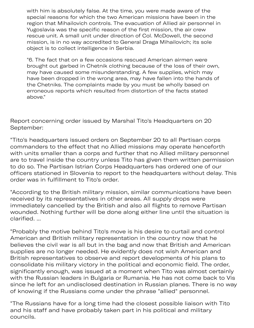with him is absolutely false. At the time, you were made aware of the special reasons for which the two American missions have been in the region that Mihailovich controls. The evacuation of Allied air personnel in Yugoslavia was the specific reason of the first mission, the air crew rescue unit. A small unit under direction of Col. McDowell, the second mission, is in no way accredited to General Draga Mihailovich; its sole object is to collect intelligence in Serbia.

"6. The fact that on a few occasions rescued American airmen were brought out garbed in Chetnik clothing because of the loss of their own, may have caused some misunderstanding. A few supplies, which may have been dropped in the wrong area, may have fallen into the hands of the Chetniks. The complaints made by you must be wholly based on erroneous reports which resulted from distortion of the facts stated above."

Report concerning order issued by Marshal Tito's Headquarters on 20 September:

"Tito's headquarters issued orders on September 20 to all Partisan corps commanders to the effect that no Allied missions may operate henceforth with units smaller than a corps and further that no Allied military personnel are to travel inside the country unless Tito has given them written permission to do so. The Partisan Istrian Corps Headquarters has ordered one of our officers stationed in Slovenia to report to the headquarters without delay. This order was in fulfillment to Tito's order.

"According to the British military mission, similar communications have been received by its representatives in other areas. All supply drops were immediately cancelled by the British and also all flights to remove Partisan wounded. Nothing further will be done along either line until the situation is clarified. ...

"Probably the motive behind Tito's move is his desire to curtail and control American and British military representation in the country now that he believes the civil war is all but in the bag and now that British and American supplies are no longer needed. He evidently does not wish American and British representatives to observe and report developments of his plans to consolidate his military victory in the political and economic field. The order, significantly enough, was issued at a moment when Tito was almost certainly with the Russian leaders in Bulgaria or Rumania. He has not come back to Vis since he left for an undisclosed destination in Russian planes. There is no way of knowing if the Russians come under the phrase "allied" personnel.

"The Russians have for a long time had the closest possible liaison with Tito and his staff and have probably taken part in his political and military councils.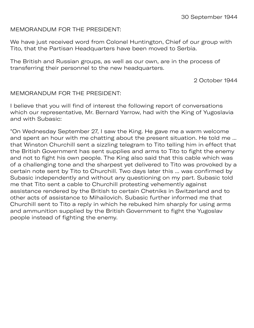We have just received word from Colonel Huntington, Chief of our group with Tito, that the Partisan Headquarters have been moved to Serbia.

The British and Russian groups, as well as our own, are in the process of transferring their personnel to the new headquarters.

2 October 1944

#### MEMORANDUM FOR THE PRESIDENT:

I believe that you will find of interest the following report of conversations which our representative, Mr. Bernard Yarrow, had with the King of Yugoslavia and with Subasic:

"On Wednesday September 27, I saw the King. He gave me a warm welcome and spent an hour with me chatting about the present situation. He told me ... that Winston Churchill sent a sizzling telegram to Tito telling him in effect that the British Government has sent supplies and arms to Tito to fight the enemy and not to fight his own people. The King also said that this cable which was of a challenging tone and the sharpest yet delivered to Tito was provoked by a certain note sent by Tito to Churchill. Two days later this ... was confirmed by Subasic independently and without any questioning on my part. Subasic told me that Tito sent a cable to Churchill protesting vehemently against assistance rendered by the British to certain Chetniks in Switzerland and to other acts of assistance to Mihailovich. Subasic further informed me that Churchill sent to Tito a reply in which he rebuked him sharply for using arms and ammunition supplied by the British Government to fight the Yugoslav people instead of fighting the enemy.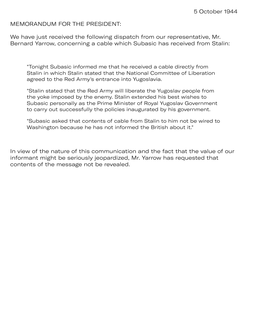We have just received the following dispatch from our representative, Mr. Bernard Yarrow, concerning a cable which Subasic has received from Stalin:

"Tonight Subasic informed me that he received a cable directly from Stalin in which Stalin stated that the National Committee of Liberation agreed to the Red Army's entrance into Yugoslavia.

"Stalin stated that the Red Army will liberate the Yugoslav people from the yoke imposed by the enemy. Stalin extended his best wishes to Subasic personally as the Prime Minister of Royal Yugoslav Government to carry out successfully the policies inaugurated by his government.

"Subasic asked that contents of cable from Stalin to him not be wired to Washington because he has not informed the British about it."

In view of the nature of this communication and the fact that the value of our informant might be seriously jeopardized, Mr. Yarrow has requested that contents of the message not be revealed.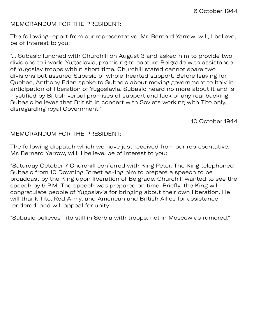The following report from our representative, Mr. Bernard Yarrow, will, I believe, be of interest to you:

"... Subasic lunched with Churchill on August 3 and asked him to provide two divisions to invade Yugoslavia, promising to capture Belgrade with assistance of Yugoslav troops within short time. Churchill stated cannot spare two divisions but assured Subasic of whole-hearted support. Before leaving for Quebec, Anthony Eden spoke to Subasic about moving government to Italy in anticipation of liberation of Yugoslavia. Subasic heard no more about it and is mystified by British verbal promises of support and lack of any real backing. Subasic believes that British in concert with Soviets working with Tito only, disregarding royal Government."

10 October 1944

#### MEMORANDUM FOR THE PRESIDENT:

The following dispatch which we have just received from our representative, Mr. Bernard Yarrow, will, I believe, be of interest to you:

"Saturday October 7 Churchill conferred with King Peter. The King telephoned Subasic from 10 Downing Street asking him to prepare a speech to be broadcast by the King upon liberation of Belgrade. Churchill wanted to see the speech by 5 P.M. The speech was prepared on time. Briefly, the King will congratulate people of Yugoslavia for bringing about their own liberation. He will thank Tito, Red Army, and American and British Allies for assistance rendered, and will appeal for unity.

"Subasic believes Tito still in Serbia with troops, not in Moscow as rumored."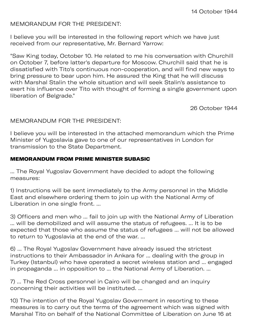I believe you will be interested in the following report which we have just received from our representative, Mr. Bernard Yarrow:

"Saw King today, October 10. He related to me his conversation with Churchill on October 7, before latter's departure for Moscow. Churchill said that he is dissatisfied with Tito's continuous non-cooperation, and will find new ways to bring pressure to bear upon him. He assured the King that he will discuss with Marshal Stalin the whole situation and will seek Stalin's assistance to exert his influence over Tito with thought of forming a single government upon liberation of Belgrade."

26 October 1944

#### MEMORANDUM FOR THE PRESIDENT:

I believe you will be interested in the attached memorandum which the Prime Minister of Yugoslavia gave to one of our representatives in London for transmission to the State Department.

#### MEMORANDUM FROM PRIME MINISTER SUBASIC

... The Royal Yugoslav Government have decided to adopt the following measures:

1) Instructions will be sent immediately to the Army personnel in the Middle East and elsewhere ordering them to join up with the National Army of Liberation in one single front. ...

3) Officers and men who ... fail to join up with the National Army of Liberation ... will be demobilized and will assume the status of refugees. ... It is to be expected that those who assume the status of refugees ... will not be allowed to return to Yugoslavia at the end of the war. ...

6) ... The Royal Yugoslav Government have already issued the strictest instructions to their Ambassador in Ankara for ... dealing with the group in Turkey (Istanbul) who have operated a secret wireless station and ... engaged in propaganda ... in opposition to ... the National Army of Liberation. ...

7) ... The Red Cross personnel in Cairo will be changed and an inquiry concerning their activities will be instituted. ...

10) The intention of the Royal Yugoslav Government in resorting to these measures is to carry out the terms of the agreement which was signed with Marshal Tito on behalf of the National Committee of Liberation on June 16 at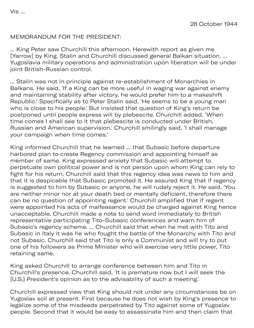... King Peter saw Churchill this afternoon. Herewith report as given me [Yarrow] by King. Stalin and Churchill discussed general Balkan situation. ... Yugoslavia military operations and administration upon liberation will be under joint British-Russian control.

... Stalin was not in principle against re-establishment of Monarchies in Balkans. He said, 'If a King can be more useful in waging war against enemy and maintaining stability after victory, he would prefer him to a makeshift Republic.' Specifically as to Peter Stalin said, 'He seems to be a young man who is close to his people.' But insisted that question of King's return be postponed until people express will by plebescite. Churchill added, 'When time comes I shall see to it that plebescite is conducted under British, Russian and American supervision.' Churchill smilingly said, 'I shall manage your campaign when time comes.'

King informed Churchill that he learned ... that Subasic before departure harbored plan to create Regency commission and appointing himself as member of same. King expressed anxiety that Subasic will attempt to perpetuate own political power and is not person upon whom King can rely to fight for his return. Churchill said that this regency idea was news to him and that it is despicable that Subasic promoted it. He assured King that if regency is suggested to him by Subasic or anyone, he will rudely reject it. He said, 'You are neither minor nor at your death bed or mentally deficient, therefore there can be no question of appointing regent.' Churchill amplified that if regent were appointed his acts of malfeasance would be charged against King hence unacceptable. Churchill made a note to send word immediately to British representative participating Tito-Subasic conferences and warn him of Subasic's regency scheme. ... Churchill said that when he met with Tito and Subasic in Italy it was he who fought the battle of the Monarchy with Tito and not Subasic. Churchill said that Tito is only a Communist and will try to put one of his followers as Prime Minister who will exercise very little power, Tito retaining same.

King asked Churchill to arrange conference between him and Tito in Churchill's presence. Churchill said, 'It is premature now but I will seek the [U.S.] President's opinion as to the advisability of such a meeting.'

Churchill expressed view that King should not under any circumstances be on Yugoslav soil at present. First because he does not wish by King's presence to legalize some of the misdeeds perpetrated by Tito against some of Yugoslav people. Second that it would be easy to assassinate him and then claim that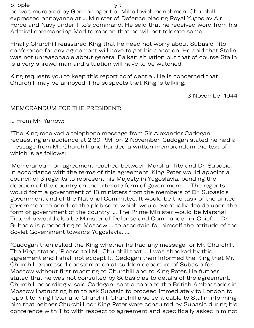p ople y t

he was murdered by German agent or Mihailovich henchmen. Churchill expressed annoyance at ... Minister of Defence placing Royal Yugoslav Air Force and Navy under Tito's command. He said that he received word from his Admiral commanding Mediterranean that he will not tolerate same.

Finally Churchill reassured King that he need not worry about Subasic-Tito conference for any agreement will have to get his sanction. He said that Stalin was not unreasonable about general Balkan situation but that of course Stalin is a very shrewd man and situation will have to be watched.

King requests you to keep this report confidential. He is concerned that Churchill may be annoyed if he suspects that King is talking.

3 November 1944

#### MEMORANDUM FOR THE PRESIDENT:

... From Mr. Yarrow:

"The King received a telephone message from Sir Alexander Cadogan requesting an audience at 2:30 P.M. on 2 November. Cadogan stated he had a message from Mr. Churchill and handed a written memorandum the text of which is as follows:

'Memorandum on agreement reached between Marshal Tito and Dr. Subasic. In accordance with the terms of this agreement, King Peter would appoint a council of 3 regents to represent his Majesty in Yugoslavia, pending the decision of the country on the ultimate form of government. ... The regents would form a government of 18 ministers from the members of Dr. Subasic's government and of the National Committee. It would be the task of the united government to conduct the plebiscite which would eventually decide upon the form of government of the country. ... The Prime Minister would be Marshal Tito, who would also be Minister of Defense and Commander-in-Chief. ... Dr. Subasic is proceeding to Moscow ... to ascertain for himself the attitude of the Soviet Government towards Yugoslavia. ...

"Cadogan then asked the King whether he had any message for Mr. Churchill. The King stated, 'Please tell Mr. Churchill that ... I was shocked by this agreement and I shall not accept it.' Cadogan then informed the King that Mr. Churchill expressed consternation at sudden departure of Subasic for Moscow without first reporting to Churchill and to King Peter. He further stated that he was not consulted by Subasic as to details of the agreement. Churchill accordingly, said Cadogan, sent a cable to the British Ambassador in Moscow instructing him to ask Subasic to proceed immediately to London to report to King Peter and Churchill. Churchill also sent cable to Stalin informing him that neither Churchill nor King Peter were consulted by Subasic during his conference with Tito with respect to agreement and specifically asked him not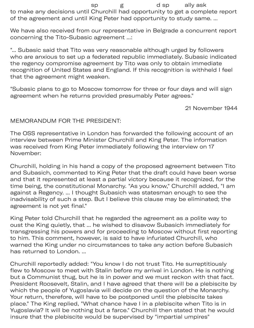sp g d sp ally ask to make any decisions until Churchill had opportunity to get a complete report of the agreement and until King Peter had opportunity to study same. ...

We have also received from our representative in Belgrade a concurrent report concerning the Tito-Subasic agreement ...:

"... Subasic said that Tito was very reasonable although urged by followers who are anxious to set up a federated republic immediately. Subasic indicated the regency compromise agreement by Tito was only to obtain immediate recognition of United States and England. If this recognition is withheld I feel that the agreement might weaken.

"Subasic plans to go to Moscow tomorrow for three or four days and will sign agreement when he returns provided presumably Peter agrees."

21 November 1944

#### MEMORANDUM FOR THE PRESIDENT:

The OSS representative in London has forwarded the following account of an interview between Prime Minister Churchill and King Peter. The information was received from King Peter immediately following the interview on 17 November:

Churchill, holding in his hand a copy of the proposed agreement between Tito and Subasich, commented to King Peter that the draft could have been worse and that it represented at least a partial victory because it recognized, for the time being, the constitutional Monarchy. "As you know," Churchill added, "I am against a Regency. ... I thought Subasich was statesman enough to see the inadvisability of such a step. But I believe this clause may be eliminated; the agreement is not yet final."

King Peter told Churchill that he regarded the agreement as a polite way to oust the King quietly, that ... he wished to disavow Subasich immediately for transgressing his powers and for proceeding to Moscow without first reporting to him. This comment, however, is said to have infuriated Churchill, who warned the King under no circumstances to take any action before Subasich has returned to London. ...

Churchill reportedly added: "You know I do not trust Tito. He surreptitiously flew to Moscow to meet with Stalin before my arrival in London. He is nothing but a Communist thug, but he is in power and we must reckon with that fact. President Roosevelt, Stalin, and I have agreed that there will be a plebiscite by which the people of Yugoslavia will decide on the question of the Monarchy. Your return, therefore, will have to be postponed until the plebiscite takes place." The King replied, "What chance have I in a plebiscite when Tito is in Yugoslavia? It will be nothing but a farce." Churchill then stated that he would insure that the plebiscite would be supervised by "impartial umpires"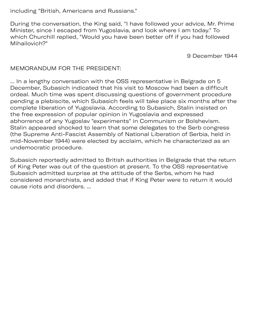including "British, Americans and Russians."

During the conversation, the King said, "I have followed your advice, Mr. Prime Minister, since I escaped from Yugoslavia, and look where I am today." To which Churchill replied, "Would you have been better off if you had followed Mihailovich?"

9 December 1944

#### MEMORANDUM FOR THE PRESIDENT:

... In a lengthy conversation with the OSS representative in Belgrade on 5 December, Subasich indicated that his visit to Moscow had been a difficult ordeal. Much time was spent discussing questions of government procedure pending a plebiscite, which Subasich feels will take place six months after the complete liberation of Yugoslavia. According to Subasich, Stalin insisted on the free expression of popular opinion in Yugoslavia and expressed abhorrence of any Yugoslav "experiments" in Communism or Bolshevism. Stalin appeared shocked to learn that some delegates to the Serb congress (the Supreme Anti-Fascist Assembly of National Liberation of Serbia, held in mid-November 1944) were elected by acclaim, which he characterized as an undemocratic procedure.

Subasich reportedly admitted to British authorities in Belgrade that the return of King Peter was out of the question at present. To the OSS representative Subasich admitted surprise at the attitude of the Serbs, whom he had considered monarchists, and added that if King Peter were to return it would cause riots and disorders. ...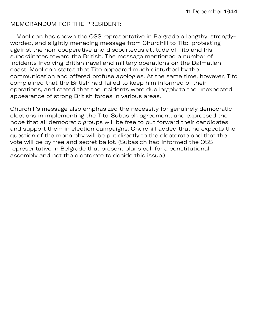... MacLean has shown the OSS representative in Belgrade a lengthy, stronglyworded, and slightly menacing message from Churchill to Tito, protesting against the non-cooperative and discourteous attitude of Tito and his subordinates toward the British. The message mentioned a number of incidents involving British naval and military operations on the Dalmatian coast. MacLean states that Tito appeared much disturbed by the communication and offered profuse apologies. At the same time, however, Tito complained that the British had failed to keep him informed of their operations, and stated that the incidents were due largely to the unexpected appearance of strong British forces in various areas.

Churchill's message also emphasized the necessity for genuinely democratic elections in implementing the Tito-Subasich agreement, and expressed the hope that all democratic groups will be free to put forward their candidates and support them in election campaigns. Churchill added that he expects the question of the monarchy will be put directly to the electorate and that the vote will be by free and secret ballot. (Subasich had informed the OSS representative in Belgrade that present plans call for a constitutional assembly and not the electorate to decide this issue.)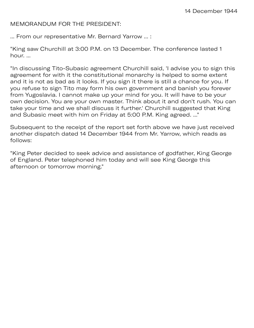... From our representative Mr. Bernard Yarrow ... :

"King saw Churchill at 3:00 P.M. on 13 December. The conference lasted 1 hour. ...

"In discussing Tito-Subasic agreement Churchill said, 'I advise you to sign this agreement for with it the constitutional monarchy is helped to some extent and it is not as bad as it looks. If you sign it there is still a chance for you. If you refuse to sign Tito may form his own government and banish you forever from Yugoslavia. I cannot make up your mind for you. It will have to be your own decision. You are your own master. Think about it and don't rush. You can take your time and we shall discuss it further.' Churchill suggested that King and Subasic meet with him on Friday at 5:00 P.M. King agreed. ..."

Subsequent to the receipt of the report set forth above we have just received another dispatch dated 14 December 1944 from Mr. Yarrow, which reads as follows:

"King Peter decided to seek advice and assistance of godfather, King George of England. Peter telephoned him today and will see King George this afternoon or tomorrow morning."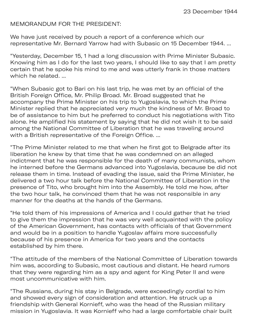We have just received by pouch a report of a conference which our representative Mr. Bernard Yarrow had with Subasic on 15 December 1944. ...

"Yesterday, December 15, 1 had a long discussion with Prime Minister Subasic. Knowing him as I do for the last two years, I should like to say that I am pretty certain that he spoke his mind to me and was utterly frank in those matters which he related....

"When Subasic got to Bari on his last trip, he was met by an official of the British Foreign Office, Mr. Philip Broad. Mr. Broad suggested that he accompany the Prime Minister on his trip to Yugoslavia, to which the Prime Minister replied that he appreciated very much the kindness of Mr. Broad to be of assistance to him but he preferred to conduct his negotiations with Tito alone. He amplified his statement by saying that he did not wish it to be said among the National Committee of Liberation that he was traveling around with a British representative of the Foreign Office. ...

"The Prime Minister related to me that when he first got to Belgrade after its liberation he knew by that time that he was condemned on an alleged indictment that he was responsible for the death of many communists, whom he interned before the Germans advanced into Yugoslavia, because be did not release them in time. Instead of evading the issue, said the Prime Minister, he delivered a two hour talk before the National Committee of Liberation in the presence of Tito, who brought him into the Assembly. He told me how, after the two hour talk, he convinced them that he was not responsible in any manner for the deaths at the hands of the Germans.

"He told them of his impressions of America and I could gather that he tried to give them the impression that he was very well acquainted with the policy of the American Government, has contacts with officials of that Government and would be in a position to handle Yugoslav affairs more successfully because of his presence in America for two years and the contacts established by him there.

"The attitude of the members of the National Committee of Liberation towards him was, according to Subasic, most cautious and distant. He heard rumors that they were regarding him as a spy and agent for King Peter II and were most uncommunicative with him.

"The Russians, during his stay in Belgrade, were exceedingly cordial to him and showed every sign of consideration and attention. He struck up a friendship with General Kornieff, who was the head of the Russian military mission in Yugoslavia. It was Kornieff who had a large comfortable chair built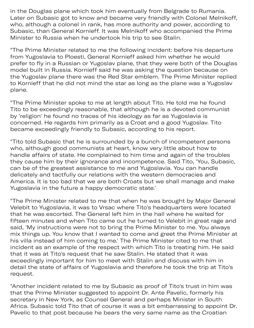in the Douglas plane which took him eventually from Belgrade to Rumania. Later on Subasic got to know and became very friendly with Colonel Melnikoff, who, although a colonel in rank, has more authority and power, according to Subasic, than General Kornieff. It was Melnikoff who accompanied the Prime Minister to Russia when he undertook his trip to see Stalin.

"The Prime Minister related to me the following incident: before his departure from Yugoslavia to Ploesti, General Kornieff asked him whether he would prefer to fly in a Russian or Yugoslav plane, that they were both of the Douglas model built in Russia. Kornieff said he was asking the question because on the Yugoslav plane there was the Red Star emblem. The Prime Minister replied to Kornieff that he did not mind the star as long as the plane was a Yugoslav plane.

"The Prime Minister spoke to me at length about Tito. He told me he found Tito to be exceedingly reasonable, that although he is a devoted communist by 'religion' he found no traces of his ideology as far as Yugoslavia is concerned. He regards him primarily as a Croat and a good Yugoslav. Tito became exceedingly friendly to Subasic, according to his report.

"Tito told Subasic that he is surrounded by a bunch of incompetent persons who, although good communists at heart, know very little about how to handle affairs of state. He complained to him time and again of the troubles they cause him by their ignorance and incompetence. Said Tito, 'You, Subasic, can be of the greatest assistance to me and Yugoslavia. You can handle delicately and tactfully our relations with the western democracies and America. It is too bad that we are both Croats but we shall manage and make Yugoslavia in the future a happy democratic state.'

"The Prime Minister related to me that when he was brought by Major General Velebit to Yugoslavia, it was to Vrsac where Tito's headquarters were located that he was escorted. The General left him in the hall where he waited for fifteen minutes and when Tito came out he turned to Velebit in great rage and said, 'My instructions were not to bring the Prime Minister to me. You always mix things up. You know that I wanted to come and greet the Prime Minister at his villa instead of him coming to me.' The Prime Minister cited to me that incident as an example of the respect with which Tito is treating him. He said that it was at Tito's request that he saw Stalin. He stated that it was exceedingly important for him to meet with Stalin and discuss with him in detail the state of affairs of Yugoslavia and therefore he took the trip at Tito's request.

"Another incident related to me by Subasic as proof of Tito's trust in him was that the Prime Minister suggested to appoint Dr. Ante Pavelic, formerly his secretary in New York, as Counsel General and perhaps Minister in South Africa. Subasic told Tito that of course it was a bit embarrassing to appoint Dr. Pavelic to that post because he bears the very same name as the Croatian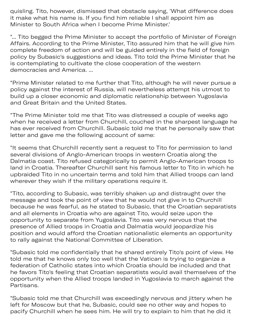quisling. Tito, however, dismissed that obstacle saying, 'What difference does it make what his name is. If you find him reliable I shall appoint him as Minister to South Africa when I become Prime Minister.'

"... Tito begged the Prime Minister to accept the portfolio of Minister of Foreign Affairs. According to the Prime Minister, Tito assured him that he will give him complete freedom of action and will be guided entirely in the field of foreign policy by Subasic's sugestions and ideas. Tito told the Prime Minister that he is contemplating to cultivate the close cooperation of the western democracies and America. ...

"Prime Minister related to me further that Tito, although he will never pursue a policy against the interest of Russia, will nevertheless attempt his utmost to build up a closer economic and diplomatic relationship between Yugoslavia and Great Britain and the United States.

"The Prime Minister told me that Tito was distressed a couple of weeks ago when he received a letter from Churchill, couched in the sharpest language he has ever received from Churchill. Subasic told me that he personally saw that letter and gave me the following account of same:

"It seems that Churchill recently sent a request to Tito for permission to land several divisions of Anglo-American troops in western Croatia along the Dalmatia coast. Tito refused categorically to permit Anglo-American troops to land in Croatia. Thereafter Churchill sent his famous letter to Tito in which he upbraided Tito in no uncertain terms and told him that Allied troops can land wherever they wish if the military operations require it.

"Tito, according to Subasic, was terribly shaken up and distraught over the message and took the point of view that he would not give in to Churchill because he was fearful, as he stated to Subasic, that the Croatian separatists and all elements in Croatia who are against Tito, would seize upon the opportunity to separate from Yugoslavia. Tito was very nervous that the presence of Allied troops in Croatia and Dalmatia would jeopardize his position and would afford the Croatian nationalistic elements an opportunity to rally against the National Committee of Liberation.

"Subasic told me confidentially that he shared entirely Tito's point of view. He told me that he knows only too well that the Vatican is trying to organize a federation of Catholic states into which Croatia should be included and that he favors Tito's feeling that Croatian separatists would avail themselves of the opportunity when the Allied troops landed in Yugoslavia to march against the Partisans.

"Subasic told me that Churchill was exceedingly nervous and jittery when he left for Moscow but that he, Subasic, could see no other way and hopes to pacify Churchill when he sees him. He will try to explain to him that he did it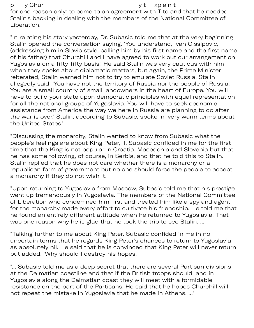### p y Chur y t xplain t

for one reason only: to come to an agreement with Tito and that he needed Stalin's backing in dealing with the members of the National Committee of Liberation.

"In relating his story yesterday, Dr. Subasic told me that at the very beginning Stalin opened the conversation saying, 'You understand, Ivan Oissipovic, (addressing him in Slavic style, calling him by his first name and the first name of his father) that Churchill and I have agreed to work out our arrangement on Yugoslavia on a fifty-fifty basis.' He said Stalin was very cautious with him when they spoke about diplomatic matters, but again, the Prime Minister reiterated, Stalin warned him not to try to emulate Soviet Russia. Stalin allegedly said, 'You have not the territory of Russia nor the people of Russia. You are a small country of small landowners in the heart of Europe. You will have to build your state upon democratic principles with equal representation for all the national groups of Yugoslavia. You will have to seek economic assistance from America the way we here in Russia are planning to do after the war is over.' Stalin, according to Subasic, spoke in 'very warm terms about the United States.'

"Discussing the monarchy, Stalin wanted to know from Subasic what the people's feelings are about King Peter, II. Subasic confided in me for the first time that the King is not popular in Croatia, Macedonia and Slovenia but that he has some following, of course, in Serbia, and that he told this to Stalin. Stalin replied that he does not care whether there is a monarchy or a republican form of government but no one should force the people to accept a monarchy if they do not wish it.

"Upon returning to Yugoslavia from Moscow, Subasic told me that his prestige went up tremendously in Yugoslavia. The members of the National Committee of Liberation who condemned him first and treated him like a spy and agent for the monarchy made every effort to cultivate his friendship. He told me that he found an entirely different attitude when he returned to Yugoslavia. That was one reason why he is glad that he took the trip to see Stalin. ...

"Talking further to me about King Peter, Subasic confided in me in no uncertain terms that he regards King Peter's chances to return to Yugoslavia as absolutely nil. He said that he is convinced that King Peter will never return but added, 'Why should I destroy his hopes.'

"... Subasic told me as a deep secret that there are several Partisan divisions at the Dalmatian coastline and that if the British troops should land in Yugoslavia along the Dalmatian coast they will meet with a formidable resistance on the part of the Partisans. He said that he hopes Churchill will not repeat the mistake in Yugoslavia that he made in Athens. ..."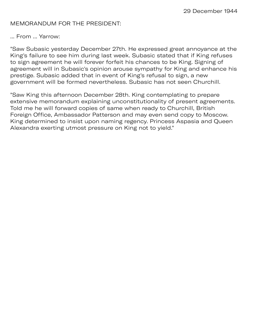... From ... Yarrow:

"Saw Subasic yesterday December 27th. He expressed great annoyance at the King's failure to see him during last week. Subasic stated that if King refuses to sign agreement he will forever forfeit his chances to be King. Signing of agreement will in Subasic's opinion arouse sympathy for King and enhance his prestige. Subasic added that in event of King's refusal to sign, a new government will be formed nevertheless. Subasic has not seen Churchill.

"Saw King this afternoon December 28th. King contemplating to prepare extensive memorandum explaining unconstitutionality of present agreements. Told me he will forward copies of same when ready to Churchill, British Foreign Office, Ambassador Patterson and may even send copy to Moscow. King determined to insist upon naming regency. Princess Aspasia and Queen Alexandra exerting utmost pressure on King not to yield."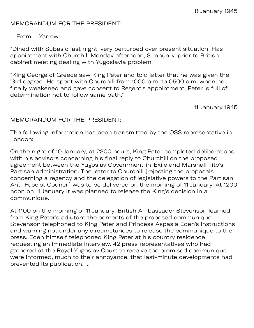... From ... Yarrow:

"Dined with Subasic last night, very perturbed over present situation. Has appointment with Churchill Monday afternoon, 8 January, prior to British cabinet meeting dealing with Yugoslavia problem.

"King George of Greece saw King Peter and told latter that he was given the '3rd degree'. He spent with Churchill from 1000 p.m. to 0500 a.m. when he finally weakened and gave consent to Regent's appointment. Peter is full of determination not to follow same path."

11 January 1945

#### MEMORANDUM FOR THE PRESIDENT:

The following information has been transmitted by the OSS representative in London:

On the night of 10 January, at 2300 hours, King Peter completed deliberations with his advisors concerning his final reply to Churchill on the proposed agreement between the Yugoslav Government-in-Exile and Marshall Tito's Partisan administration. The letter to Churchill [rejecting the proposals concerning a regency and the delegation of legislative powers to the Partisan Anti-Fascist Council] was to be delivered on the morning of 11 January. At 1200 noon on 11 January it was planned to release the King's decision in a communique.

At 1100 on the morning of 11 January, British Ambassador Stevenson learned from King Peter's adjutant the contents of the proposed communique ... Stevenson telephoned to King Peter and Princess Aspasia Eden's instructions and warning not under any circumstances to release the communique to the press. Eden himself telephoned King Peter at his country residence requesting an immediate interview. 42 press representatives who had gathered at the Royal Yugoslav Court to receive the promised communique were informed, much to their annoyance, that last-minute developments had prevented its publication. ...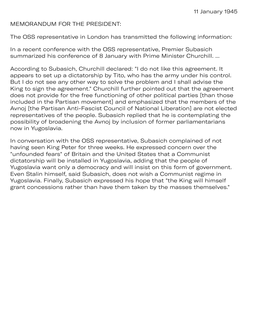The OSS representative in London has transmitted the following information:

In a recent conference with the OSS representative, Premier Subasich summarized his conference of 8 January with Prime Minister Churchill. ...

According to Subasich, Churchill declared: "I do not like this agreement. It appears to set up a dictatorship by Tito, who has the army under his control. But I do not see any other way to solve the problem and I shall advise the King to sign the agreement." Churchill further pointed out that the agreement does not provide for the free functioning of other political parties [than those included in the Partisan movement] and emphasized that the members of the Avnoj [the Partisan Anti-Fascist Council of National Liberation] are not elected representatives of the people. Subasich replied that he is contemplating the possibility of broadening the Avnoj by inclusion of former parliamentarians now in Yugoslavia.

In conversation with the OSS representative, Subasich complained of not having seen King Peter for three weeks. He expressed concern over the "unfounded fears" of Britain and the United States that a Communist dictatorship will be installed in Yugoslavia, adding that the people of Yugoslavia want only a democracy and will insist on this form of government. Even Stalin himself, said Subasich, does not wish a Communist regime in Yugoslavia. Finally, Subasich expressed his hope that "the King will himself grant concessions rather than have them taken by the masses themselves."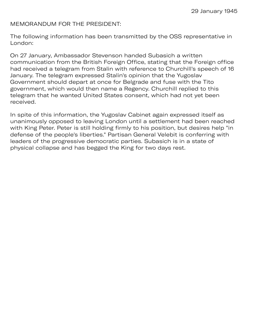The following information has been transmitted by the OSS representative in London:

On 27 January, Ambassador Stevenson handed Subasich a written communication from the British Foreign Office, stating that the Foreign office had received a telegram from Stalin with reference to Churchill's speech of 16 January. The telegram expressed Stalin's opinion that the Yugoslav Government should depart at once for Belgrade and fuse with the Tito government, which would then name a Regency. Churchill replied to this telegram that he wanted United States consent, which had not yet been received.

In spite of this information, the Yugoslav Cabinet again expressed itself as unanimously opposed to leaving London until a settlement had been reached with King Peter. Peter is still holding firmly to his position, but desires help "in defense of the people's liberties." Partisan General Velebit is conferring with leaders of the progressive democratic parties. Subasich is in a state of physical collapse and has begged the King for two days rest.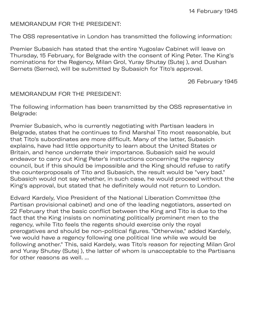The OSS representative in London has transmitted the following information:

Premier Subasich has stated that the entire Yugoslav Cabinet will leave on Thursday, 15 February, for Belgrade with the consent of King Peter. The King's nominations for the Regency, Milan Grol, Yuray Shutay (Sutej ), and Dushan Sernets (Sernec), will be submitted by Subasich for Tito's approval.

26 February 1945

#### MEMORANDUM FOR THE PRESIDENT:

The following information has been transmitted by the OSS representative in Belgrade:

Premier Subasich, who is currently negotiating with Partisan leaders in Belgrade, states that he continues to find Marshal Tito most reasonable, but that Tito's subordinates are more difficult. Many of the latter, Subasich explains, have had little opportunity to learn about the United States or Britain, and hence underrate their importance. Subasich said he would endeavor to carry out King Peter's instructions concerning the regency council, but if this should be impossible and the King should refuse to ratify the counterproposals of Tito and Subasich, the result would be "very bad." Subasich would not say whether, in such case, he would proceed without the King's approval, but stated that he definitely would not return to London.

Edvard Kardely, Vice President of the National Liberation Committee (the Partisan provisional cabinet) and one of the leading negotiators, asserted on 22 February that the basic conflict between the King and Tito is due to the fact that the King insists on nominating politically prominent men to the regency, while Tito feels the regents should exercise only the royal prerogatives and should be non-political figures. "Otherwise," added Kardely, "we would have a regency following one political line while we would be following another." This, said Kardely, was Tito's reason for rejecting Milan Grol and Yuray Shutey (Sutej ), the latter of whom is unacceptable to the Partisans for other reasons as well. ...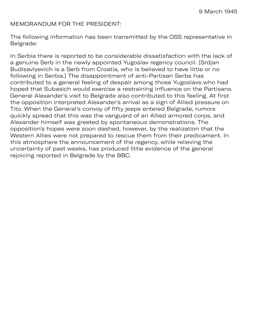The following information has been transmitted by the OSS representative in Belgrade:

In Serbia there is reported to be considerable dissatisfaction with the lack of a genuine Serb in the newly appointed Yugoslav regency council. [Srdjan Budisavlyevich is a Serb from Croatia, who is believed to have little or no following in Serbia.] The disappointment of anti-Partisan Serbs has contributed to a general feeling of despair among those Yugoslavs who had hoped that Subasich would exercise a restraining influence on the Partisans. General Alexander's visit to Belgrade also contributed to this feeling. At first the opposition interpreted Alexander's arrival as a sign of Allied pressure on Tito. When the General's convoy of fifty jeeps entered Belgrade, rumors quickly spread that this was the vanguard of an Allied armored corps, and Alexander himself was greeted by spontaneous demonstrations. The opposition's hopes were soon dashed, however, by the realization that the Western Allies were not prepared to rescue them from their predicament. In this atmosphere the announcement of the regency, while relieving the uncertainty of past weeks, has produced little evidence of the general rejoicing reported in Belgrade by the BBC.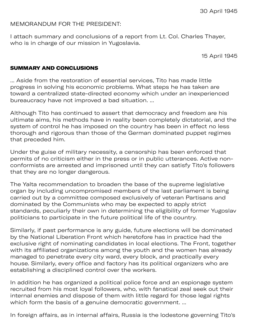I attach summary and conclusions of a report from Lt. Col. Charles Thayer, who is in charge of our mission in Yugoslavia.

15 April 1945

#### SUMMARY AND CONCLUSIONS

... Aside from the restoration of essential services, Tito has made little progress in solving his economic problems. What steps he has taken are toward a centralized state-directed economy which under an inexperienced bureaucracy have not improved a bad situation. ...

Although Tito has continued to assert that democracy and freedom are his ultimate aims, his methods have in reality been completely dictatorial, and the system of control he has imposed on the country has been in effect no less thorough and rigorous than those of the German dominated puppet regimes that preceded him.

Under the guise of military necessity, a censorship has been enforced that permits of no criticism either in the press or in public utterances. Active nonconformists are arrested and imprisoned until they can satisfy Tito's followers that they are no longer dangerous.

The Yalta recommendation to broaden the base of the supreme legislative organ by including uncompromised members of the last parliament is being carried out by a committee composed exclusively of veteran Partisans and dominated by the Communists who may be expected to apply strict standards, peculiarly their own in determining the eligibility of former Yugoslav politicians to participate in the future political life of the country.

Similarly, if past performance is any guide, future elections will be dominated by the National Liberation Front which heretofore has in practice had the exclusive right of nominating candidates in local elections. The Front, together with its affiliated organizations among the youth and the women has already managed to penetrate every city ward, every block, and practically every house. Similarly, every office and factory has its political organizers who are establishing a disciplined control over the workers.

In addition he has organized a political police force and an espionage system recruited from his most loyal followers, who, with fanatical zeal seek out their internal enemies and dispose of them with little regard for those legal rights which form the basis of a genuine democratic government. ...

In foreign affairs, as in internal affairs, Russia is the lodestone governing Tito's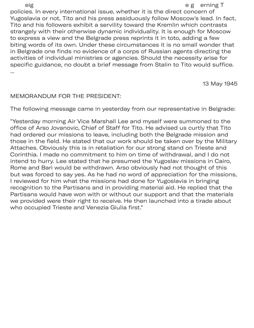eig erning T policies. In every international issue, whether it is the direct concern of Yugoslavia or not, Tito and his press assiduously follow Moscow's lead. In fact, Tito and his followers exhibit a servility toward the Kremlin which contrasts strangely with their otherwise dynamic individuality. It is enough for Moscow to express a view and the Belgrade press reprints it in toto, adding a few biting words of its own. Under these circumstances it is no small wonder that in Belgrade one finds no evidence of a corps of Russian agents directing the activities of individual ministries or agencies. Should the necessity arise for specific guidance, no doubt a brief message from Stalin to Tito would suffice. ...

13 May 1945

#### MEMORANDUM FOR THE PRESIDENT:

The following message came in yesterday from our representative in Belgrade:

"Yesterday morning Air Vice Marshall Lee and myself were summoned to the office of Arso Jovanovic, Chief of Staff for Tito. He advised us curtly that Tito had ordered our missions to leave, including both the Belgrade mission and those in the field. He stated that our work should be taken over by the Military Attaches. Obviously this is in retaliation for our strong stand on Trieste and Corinthia. I made no commitment to him on time of withdrawal, and I do not intend to hurry. Lee stated that he presumed the Yugoslav missions in Cairo, Rome and Bari would be withdrawn. Arso obviously had not thought of this but was forced to say yes. As he had no word of appreciation for the missions, I reviewed for him what the missions had done for Yugoslavia in bringing recognition to the Partisans and in providing material aid. He replied that the Partisans would have won with or without our support and that the materials we provided were their right to receive. He then launched into a tirade about who occupied Trieste and Venezia Giulia first."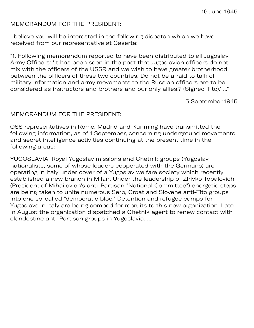I believe you will be interested in the following dispatch which we have received from our representative at Caserta:

"1. Following memorandum reported to have been distributed to all Jugoslav Army Officers: 'It has been seen in the past that Jugoslavian officers do not mix with the officers of the USSR and we wish to have greater brotherhood between the officers of these two countries. Do not be afraid to talk of military information and army movements to the Russian officers are to be considered as instructors and brothers and our only allies.7 (Signed Tito).' ..."

5 September 1945

#### MEMORANDUM FOR THE PRESIDENT:

OSS representatives in Rome, Madrid and Kunming have transmitted the following information, as of 1 September, concerning underground movements and secret intelligence activities continuing at the present time in the following areas:

YUGOSLAVIA: Royal Yugoslav missions and Chetnik groups (Yugoslav nationalists, some of whose leaders cooperated with the Germans) are operating in Italy under cover of a Yugoslav welfare society which recently established a new branch in Milan. Under the leadership of Zhivko Topalovich (President of Mihailovich's anti-Partisan "National Committee") energetic steps are being taken to unite numerous Serb, Croat and Slovene anti-Tito groups into one so-called "democratic bloc." Detention and refugee camps for Yugoslavs in Italy are being combed for recruits to this new organization. Late in August the organization dispatched a Chetnik agent to renew contact with clandestine anti-Partisan groups in Yugoslavia. ...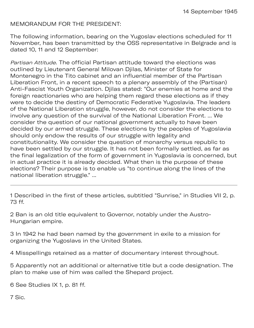The following information, bearing on the Yugoslav elections scheduled for 11 November, has been transmitted by the OSS representative in Belgrade and is dated 10, 11 and 12 September:

Partisan Attitude. The official Partisan attitude toward the elections was outlined by Lieutenant General Milovan Djilas, Minister of State for Montenegro in the Tito cabinet and an influential member of the Partisan Liberation Front, in a recent speech to a plenary assembly of the (Partisan) Anti-Fascist Youth Organization. Djilas stated: "Our enemies at home and the foreign reactionaries who are helping them regard these elections as if they were to decide the destiny of Democratic Federative Yugoslavia. The leaders of the National Liberation struggle, however, do not consider the elections to involve any question of the survival of the National Liberation Front. ... We consider the question of our national government actually to have been decided by our armed struggle. These elections by the peoples of Yugoslavia should only endow the results of our struggle with legality and constitutionality. We consider the question of monarchy versus republic to have been settled by our struggle. It has not been formally settled, as far as the final legalization of the form of government in Yugoslavia is concerned, but in actual practice it is already decided. What then is the purpose of these elections? Their purpose is to enable us "to continue along the lines of the national liberation struggle." ...

1 Described in the first of these articles, subtitled "Sunrise," in Studies VII 2, p. 73 ff.

2 Ban is an old title equivalent to Governor, notably under the Austro-Hungarian empire.

3 In 1942 he had been named by the government in exile to a mission for organizing the Yugoslavs in the United States.

4 Misspellings retained as a matter of documentary interest throughout.

5 Apparently not an additional or alternative title but a code designation. The plan to make use of him was called the Shepard project.

6 See Studies IX 1, p. 81 ff.

7 Sic.